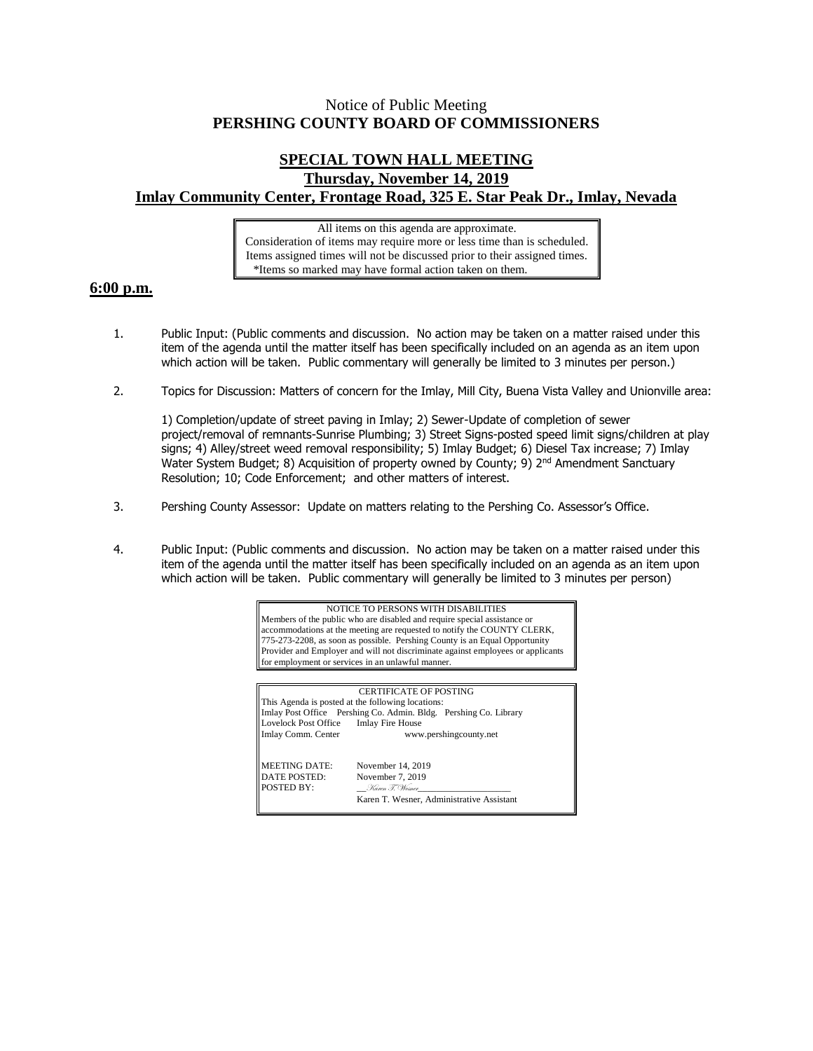## Notice of Public Meeting **PERSHING COUNTY BOARD OF COMMISSIONERS**

## **SPECIAL TOWN HALL MEETING Thursday, November 14, 2019 Imlay Community Center, Frontage Road, 325 E. Star Peak Dr., Imlay, Nevada**

All items on this agenda are approximate. Consideration of items may require more or less time than is scheduled. Items assigned times will not be discussed prior to their assigned times. \*Items so marked may have formal action taken on them.

## **6:00 p.m.**

- 1. Public Input: (Public comments and discussion. No action may be taken on a matter raised under this item of the agenda until the matter itself has been specifically included on an agenda as an item upon which action will be taken. Public commentary will generally be limited to 3 minutes per person.)
- 2. Topics for Discussion: Matters of concern for the Imlay, Mill City, Buena Vista Valley and Unionville area:

1) Completion/update of street paving in Imlay; 2) Sewer-Update of completion of sewer project/removal of remnants-Sunrise Plumbing; 3) Street Signs-posted speed limit signs/children at play signs; 4) Alley/street weed removal responsibility; 5) Imlay Budget; 6) Diesel Tax increase; 7) Imlay Water System Budget; 8) Acquisition of property owned by County; 9) 2<sup>nd</sup> Amendment Sanctuary Resolution; 10; Code Enforcement; and other matters of interest.

- 3. Pershing County Assessor: Update on matters relating to the Pershing Co. Assessor's Office.
- 4. Public Input: (Public comments and discussion. No action may be taken on a matter raised under this item of the agenda until the matter itself has been specifically included on an agenda as an item upon which action will be taken. Public commentary will generally be limited to 3 minutes per person)

NOTICE TO PERSONS WITH DISABILITIES Members of the public who are disabled and require special assistance or accommodations at the meeting are requested to notify the COUNTY CLERK, 775-273-2208, as soon as possible. Pershing County is an Equal Opportunity Provider and Employer and will not discriminate against employees or applicants for employment or services in an unlawful manner.

CERTIFICATE OF POSTING This Agenda is posted at the following locations: Imlay Post Office Pershing Co. Admin. Bldg. Pershing Co. Library Lovelock Post Office Imlay Fire House Imlay Comm. Center www.pershingcounty.net MEETING DATE: November 14, 2019 DATE POSTED: November 7, 2019 POSTED BY: \_\_Karen T. Wesner\_\_\_\_\_\_\_\_\_\_\_\_\_\_\_\_\_\_\_\_ Karen T. Wesner, Administrative Assistant